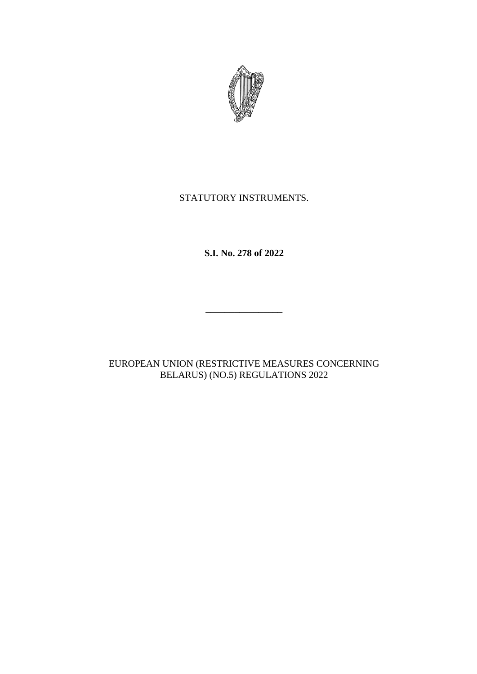

# STATUTORY INSTRUMENTS.

**S.I. No. 278 of 2022**

\_\_\_\_\_\_\_\_\_\_\_\_\_\_\_\_

EUROPEAN UNION (RESTRICTIVE MEASURES CONCERNING BELARUS) (NO.5) REGULATIONS 2022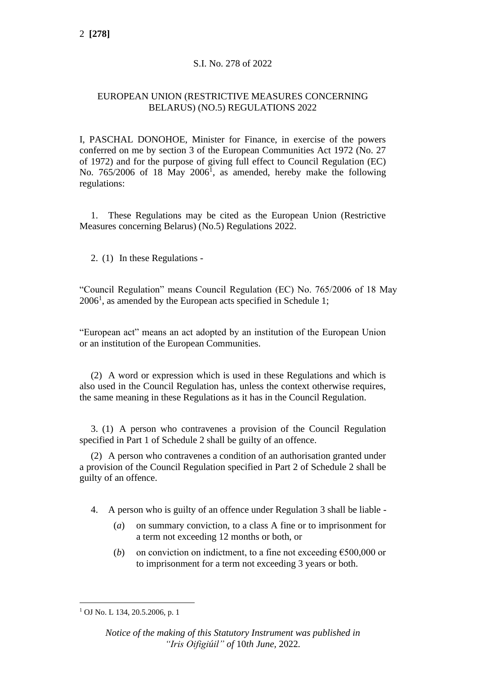## S.I. No. 278 of 2022

## EUROPEAN UNION (RESTRICTIVE MEASURES CONCERNING BELARUS) (NO.5) REGULATIONS 2022

I, PASCHAL DONOHOE, Minister for Finance, in exercise of the powers conferred on me by section 3 of the European Communities Act 1972 (No. 27 of 1972) and for the purpose of giving full effect to Council Regulation (EC) No.  $765/2006$  of 18 May  $2006<sup>1</sup>$ , as amended, hereby make the following regulations:

1. These Regulations may be cited as the European Union (Restrictive Measures concerning Belarus) (No.5) Regulations 2022.

2. (1) In these Regulations -

"Council Regulation" means Council Regulation (EC) No. 765/2006 of 18 May  $2006<sup>1</sup>$ , as amended by the European acts specified in Schedule 1;

"European act" means an act adopted by an institution of the European Union or an institution of the European Communities.

(2) A word or expression which is used in these Regulations and which is also used in the Council Regulation has, unless the context otherwise requires, the same meaning in these Regulations as it has in the Council Regulation.

3. (1) A person who contravenes a provision of the Council Regulation specified in Part 1 of Schedule 2 shall be guilty of an offence.

(2) A person who contravenes a condition of an authorisation granted under a provision of the Council Regulation specified in Part 2 of Schedule 2 shall be guilty of an offence.

- 4. A person who is guilty of an offence under Regulation 3 shall be liable
	- (*a*) on summary conviction, to a class A fine or to imprisonment for a term not exceeding 12 months or both, or
	- (*b*) on conviction on indictment, to a fine not exceeding  $\epsilon$ 500,000 or to imprisonment for a term not exceeding 3 years or both.

<sup>1</sup> OJ No. L 134, 20.5.2006, p. 1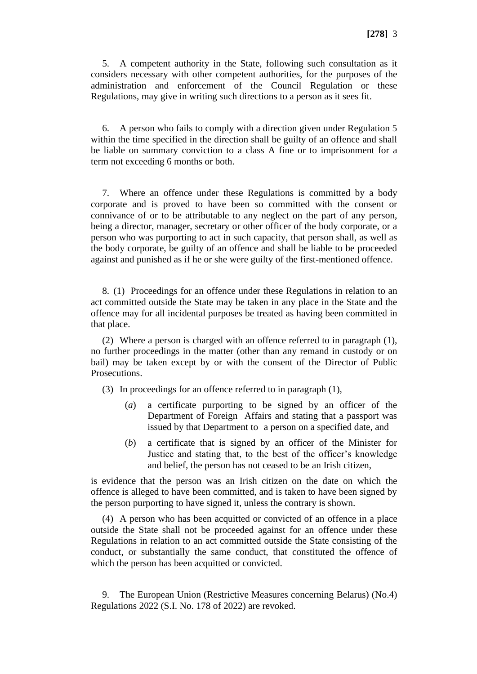5. A competent authority in the State, following such consultation as it considers necessary with other competent authorities, for the purposes of the administration and enforcement of the Council Regulation or these Regulations, may give in writing such directions to a person as it sees fit.

6. A person who fails to comply with a direction given under Regulation 5 within the time specified in the direction shall be guilty of an offence and shall be liable on summary conviction to a class A fine or to imprisonment for a term not exceeding 6 months or both.

7. Where an offence under these Regulations is committed by a body corporate and is proved to have been so committed with the consent or connivance of or to be attributable to any neglect on the part of any person, being a director, manager, secretary or other officer of the body corporate, or a person who was purporting to act in such capacity, that person shall, as well as the body corporate, be guilty of an offence and shall be liable to be proceeded against and punished as if he or she were guilty of the first-mentioned offence.

8. (1) Proceedings for an offence under these Regulations in relation to an act committed outside the State may be taken in any place in the State and the offence may for all incidental purposes be treated as having been committed in that place.

(2) Where a person is charged with an offence referred to in paragraph (1), no further proceedings in the matter (other than any remand in custody or on bail) may be taken except by or with the consent of the Director of Public Prosecutions.

(3) In proceedings for an offence referred to in paragraph (1),

- (*a*) a certificate purporting to be signed by an officer of the Department of Foreign Affairs and stating that a passport was issued by that Department to a person on a specified date, and
- (*b*) a certificate that is signed by an officer of the Minister for Justice and stating that, to the best of the officer's knowledge and belief, the person has not ceased to be an Irish citizen,

is evidence that the person was an Irish citizen on the date on which the offence is alleged to have been committed, and is taken to have been signed by the person purporting to have signed it, unless the contrary is shown.

(4) A person who has been acquitted or convicted of an offence in a place outside the State shall not be proceeded against for an offence under these Regulations in relation to an act committed outside the State consisting of the conduct, or substantially the same conduct, that constituted the offence of which the person has been acquitted or convicted.

9. The European Union (Restrictive Measures concerning Belarus) (No.4) Regulations 2022 (S.I. No. 178 of 2022) are revoked.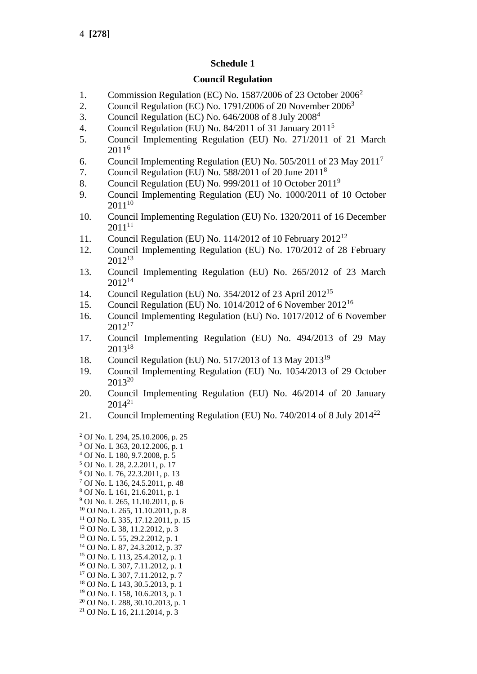## **Schedule 1**

### **Council Regulation**

- 1. Commission Regulation (EC) No. 1587/2006 of 23 October 2006<sup>2</sup>
- 2. Council Regulation (EC) No. 1791/2006 of 20 November 2006<sup>3</sup>
- 3. Council Regulation (EC) No. 646/2008 of 8 July 2008<sup>4</sup>
- 4. Council Regulation (EU) No. 84/2011 of 31 January 2011<sup>5</sup>
- 5. Council Implementing Regulation (EU) No. 271/2011 of 21 March 2011<sup>6</sup>
- 6. Council Implementing Regulation (EU) No. 505/2011 of 23 May 2011<sup>7</sup>
- 7. Council Regulation (EU) No. 588/2011 of 20 June 2011<sup>8</sup>
- 8. Council Regulation (EU) No. 999/2011 of 10 October 2011<sup>9</sup>
- 9. Council Implementing Regulation (EU) No. 1000/2011 of 10 October  $2011^{10}$
- 10. Council Implementing Regulation (EU) No. 1320/2011 of 16 December  $2011^{11}$
- 11. Council Regulation (EU) No. 114/2012 of 10 February  $2012^{12}$
- 12. Council Implementing Regulation (EU) No. 170/2012 of 28 February 2012<sup>13</sup>
- 13. Council Implementing Regulation (EU) No. 265/2012 of 23 March  $2012^{14}$
- 14. Council Regulation (EU) No. 354/2012 of 23 April 2012<sup>15</sup>
- 15. Council Regulation (EU) No. 1014/2012 of 6 November 2012<sup>16</sup>
- 16. Council Implementing Regulation (EU) No. 1017/2012 of 6 November 2012 17
- 17. Council Implementing Regulation (EU) No. 494/2013 of 29 May 2013<sup>18</sup>
- 18. Council Regulation (EU) No. 517/2013 of 13 May 2013<sup>19</sup>
- 19. Council Implementing Regulation (EU) No. 1054/2013 of 29 October 2013<sup>20</sup>
- 20. Council Implementing Regulation (EU) No. 46/2014 of 20 January  $2014^{21}$
- 21. Council Implementing Regulation (EU) No. 740/2014 of 8 July 2014<sup>22</sup>

- <sup>4</sup> OJ No. L 180, 9.7.2008, p. 5
- <sup>5</sup> OJ No. L 28, 2.2.2011, p. 17
- <sup>6</sup> OJ No. L 76, 22.3.2011, p. 13
- <sup>7</sup> OJ No. L 136, 24.5.2011, p. 48
- <sup>8</sup> OJ No. L 161, 21.6.2011, p. 1
- <sup>9</sup> OJ No. L 265, 11.10.2011, p. 6
- <sup>10</sup> OJ No. L 265, 11.10.2011, p. 8  $11$  OJ No. L 335, 17.12.2011, p. 15
- <sup>12</sup> OJ No. L 38, 11.2.2012, p. 3
- <sup>13</sup> OJ No. L 55, 29.2.2012, p. 1
- <sup>14</sup> OJ No. L 87, 24.3.2012, p. 37
- <sup>15</sup> OJ No. L 113, 25.4.2012, p. 1
- <sup>16</sup> OJ No. L 307, 7.11.2012, p. 1
- <sup>17</sup> OJ No. L 307, 7.11.2012, p. 7
- <sup>18</sup> OJ No. L 143, 30.5.2013, p. 1
- <sup>19</sup> OJ No. L 158, 10.6.2013, p. 1
- <sup>20</sup> OJ No. L 288, 30.10.2013, p. 1
- <sup>21</sup> OJ No. L 16, 21.1.2014, p. 3

<sup>2</sup> OJ No. L 294, 25.10.2006, p. 25

<sup>3</sup> OJ No. L 363, 20.12.2006, p. 1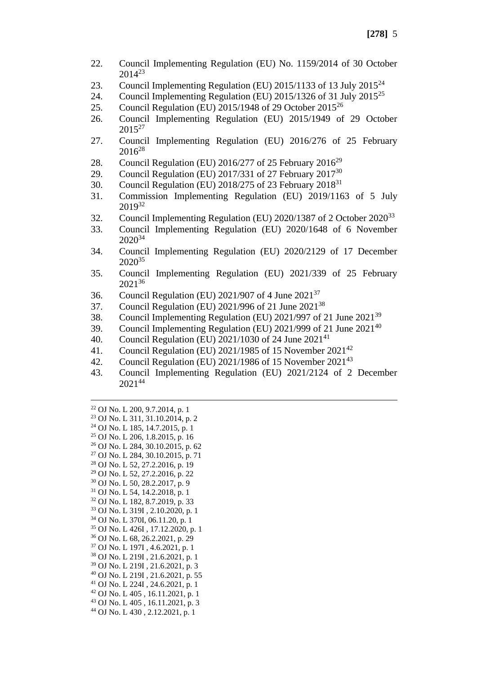- 22. Council Implementing Regulation (EU) No. 1159/2014 of 30 October 2014<sup>23</sup>
- 23. Council Implementing Regulation (EU) 2015/1133 of 13 July  $2015^{24}$
- 24. Council Implementing Regulation (EU) 2015/1326 of 31 July  $2015^{25}$
- 25. Council Regulation (EU) 2015/1948 of 29 October 2015<sup>26</sup>
- 26. Council Implementing Regulation (EU) 2015/1949 of 29 October  $2015^{27}$
- 27. Council Implementing Regulation (EU) 2016/276 of 25 February  $2016^{28}$
- 28. Council Regulation (EU) 2016/277 of 25 February 2016<sup>29</sup>
- 29. Council Regulation (EU) 2017/331 of 27 February 2017<sup>30</sup>
- 30. Council Regulation (EU)  $2018/275$  of 23 February  $2018^{31}$
- 31. Commission Implementing Regulation (EU) 2019/1163 of 5 July 2019<sup>32</sup>
- 32. Council Implementing Regulation (EU) 2020/1387 of 2 October 2020<sup>33</sup>
- 33. Council Implementing Regulation (EU) 2020/1648 of 6 November 2020<sup>34</sup>
- 34. Council Implementing Regulation (EU) 2020/2129 of 17 December  $2020^{35}$
- 35. Council Implementing Regulation (EU) 2021/339 of 25 February 2021<sup>36</sup>
- 36. Council Regulation (EU) 2021/907 of 4 June 2021<sup>37</sup>
- 37. Council Regulation (EU) 2021/996 of 21 June 2021<sup>38</sup>
- 38. Council Implementing Regulation (EU) 2021/997 of 21 June 2021<sup>39</sup>
- 39. Council Implementing Regulation (EU)  $2021/999$  of 21 June  $2021^{40}$
- 40. Council Regulation (EU)  $2021/1030$  of 24 June  $2021^{41}$
- 41. Council Regulation (EU) 2021/1985 of 15 November 2021<sup>42</sup>
- 42. Council Regulation (EU)  $2021/1986$  of 15 November  $2021^{43}$
- 43. Council Implementing Regulation (EU) 2021/2124 of 2 December 202144
- $22$  OJ No. L 200, 9.7.2014, p. 1
- <sup>23</sup> OJ No. L 311, 31.10.2014, p. 2 <sup>24</sup> OJ No. L 185, 14.7.2015, p. 1
- <sup>25</sup> OJ No. L 206, 1.8.2015, p. 16
- <sup>26</sup> OJ No. L 284, 30.10.2015, p. 62
- <sup>27</sup> OJ No. L 284, 30.10.2015, p. 71
- <sup>28</sup> OJ No. L 52, 27.2.2016, p. 19
- <sup>29</sup> OJ No. L 52, 27.2.2016, p. 22
- <sup>30</sup> OJ No. L 50, 28.2.2017, p. 9
- <sup>31</sup> OJ No. L 54, 14.2.2018, p. 1
- <sup>32</sup> OJ No. L 182, 8.7.2019, p. 33
- <sup>33</sup> OJ No. L 319I , 2.10.2020, p. 1
- <sup>34</sup> OJ No. L 370I, 06.11.20, p. 1
- <sup>35</sup> OJ No. L 426I , 17.12.2020, p. 1
- <sup>36</sup> OJ No. L 68, 26.2.2021, p. 29
- <sup>37</sup> OJ No. L 197I , 4.6.2021, p. 1
- <sup>38</sup> OJ No. L 219I , 21.6.2021, p. 1
- <sup>39</sup> OJ No. L 219I , 21.6.2021, p. 3
- <sup>40</sup> OJ No. L 219I , 21.6.2021, p. 55
- <sup>41</sup> OJ No. L 224I , 24.6.2021, p. 1 <sup>42</sup> OJ No. L 405 , 16.11.2021, p. 1
- <sup>43</sup> OJ No. L 405 , 16.11.2021, p. 3
- <sup>44</sup> OJ No. L 430 , 2.12.2021, p. 1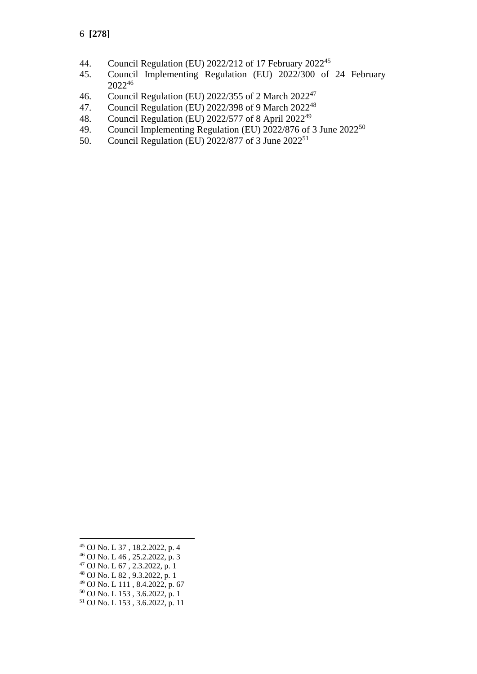- 44. Council Regulation (EU) 2022/212 of 17 February 2022<sup>45</sup>
- 45. Council Implementing Regulation (EU) 2022/300 of 24 February 2022<sup>46</sup>
- 46. Council Regulation (EU) 2022/355 of 2 March 2022<sup>47</sup>
- 47. Council Regulation (EU) 2022/398 of 9 March 2022<sup>48</sup>
- 48. Council Regulation (EU)  $2022/577$  of 8 April  $2022^{49}$ <br>49. Council Implementing Regulation (EU)  $2022/876$  of 3
- Council Implementing Regulation (EU) 2022/876 of 3 June 2022<sup>50</sup>
- 50. Council Regulation (EU) 2022/877 of 3 June 2022<sup>51</sup>

- <sup>48</sup> OJ No. L 82 , 9.3.2022, p. 1
- <sup>49</sup> OJ No. L 111 , 8.4.2022, p. 67
- <sup>50</sup> OJ No. L 153 , 3.6.2022, p. 1
- <sup>51</sup> OJ No. L 153 , 3.6.2022, p. 11

<sup>45</sup> OJ No. L 37 , 18.2.2022, p. 4

 $^{46}$  OJ No. L  $^{46}$ , 25.2.2022, p. 3

 $^{47}$  OJ No. L 67, 2.3.2022, p. 1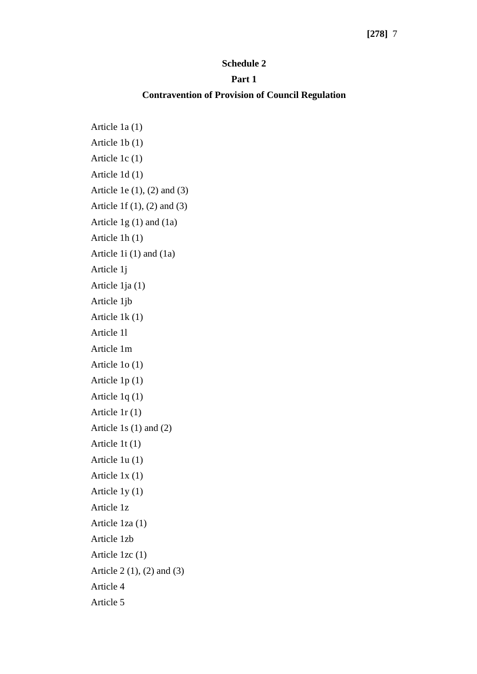### **[278]** 7

#### **Schedule 2**

#### **Part 1**

### **Contravention of Provision of Council Regulation**

Article 1a (1) Article 1b (1) Article 1c (1) Article 1d (1) Article 1e (1), (2) and (3) Article 1f (1), (2) and (3) Article 1g (1) and (1a) Article 1h (1) Article 1i (1) and (1a) Article 1j Article 1ja (1) Article 1jb Article 1k (1) Article 1l Article 1m Article 1o (1) Article 1p (1) Article 1q (1) Article 1r (1) Article 1s (1) and (2) Article 1t (1) Article 1u (1) Article 1x (1) Article 1y (1) Article 1z Article 1za (1) Article 1zb Article 1zc (1) Article 2 (1), (2) and (3) Article 4 Article 5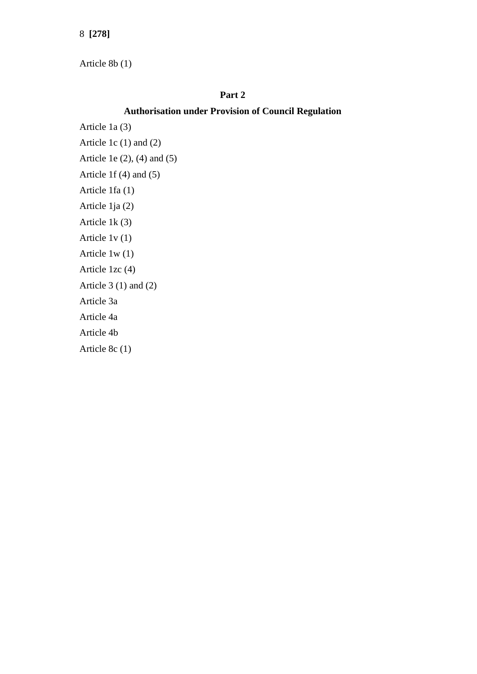8 **[278]**

Article 8b (1)

## **Part 2**

## **Authorisation under Provision of Council Regulation**

Article 1a (3)

Article 1c (1) and (2)

Article 1e (2), (4) and (5)

Article 1f (4) and (5)

Article 1fa (1)

Article 1ja (2)

Article 1k (3)

Article 1v (1)

Article 1w (1)

Article 1zc (4)

Article  $3(1)$  and  $(2)$ 

Article 3a

Article 4a

Article 4b

Article 8c (1)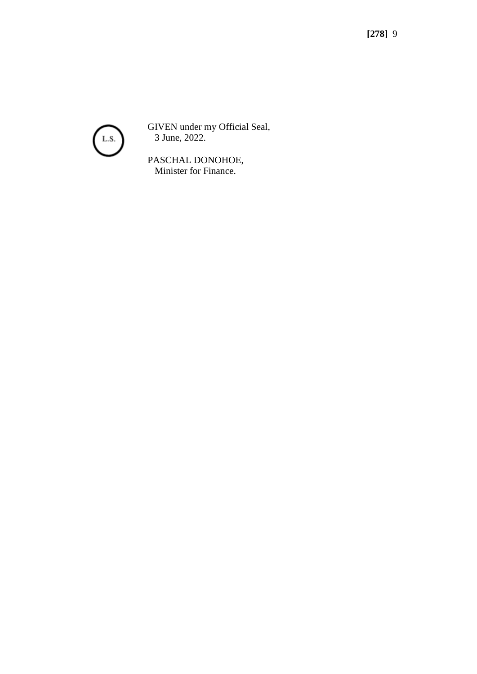

GIVEN under my Official Seal, 3 June, 2022.

PASCHAL DONOHOE, Minister for Finance.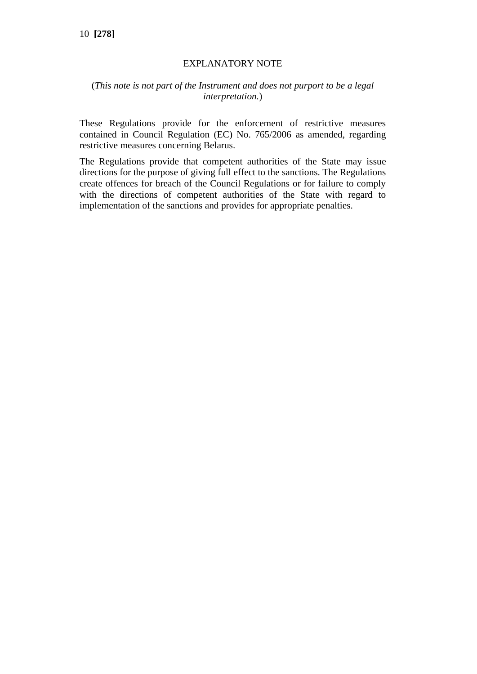## EXPLANATORY NOTE

## (*This note is not part of the Instrument and does not purport to be a legal interpretation.*)

These Regulations provide for the enforcement of restrictive measures contained in Council Regulation (EC) No. 765/2006 as amended, regarding restrictive measures concerning Belarus.

The Regulations provide that competent authorities of the State may issue directions for the purpose of giving full effect to the sanctions. The Regulations create offences for breach of the Council Regulations or for failure to comply with the directions of competent authorities of the State with regard to implementation of the sanctions and provides for appropriate penalties.